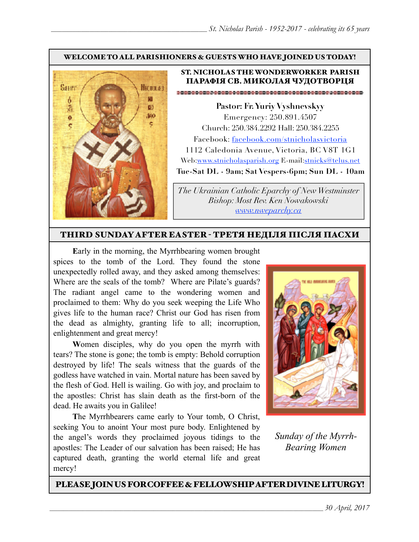### WELCOME TO ALL PARISHIONERS & GUESTS WHO HAVE JOINED US TODAY!



#### ST. NICHOLAS THE WONDERWORKER PARISH ПАРАФІЯ СВ. МИКОЛАЯ ЧУДОТВОРЦЯ

**Pastor: Fr. Yuriy Vyshnevskyy** Emergency: 250.891.4507 Church: 250.384.2292 Hall: 250.384.2255 Facebook: facebook.com/stnicholasvictoria 1112 Caledonia Avenue, Victoria, BC V8T 1G1 Web[:www.stnicholasparish.org](http://www.stnicholasparish.org) E-mail:[stnicks@telus.net](mailto:stnicks@telus.net) **Tue-Sat DL - 9am; Sat Vespers-6pm; Sun DL - 10am**

*The Ukrainian Catholic Eparchy of New Westminster Bishop: Most Rev. Ken Nowakowski [www.nweparchy.ca](http://www.nweparchy.ca)*

### THIRD SUNDAY AFTER EASTER - ТРЕТЯ НЕДІЛЯ ПІСЛЯ ПАСХИ

**E**arly in the morning, the Myrrhbearing women brought spices to the tomb of the Lord. They found the stone unexpectedly rolled away, and they asked among themselves: Where are the seals of the tomb? Where are Pilate's guards? The radiant angel came to the wondering women and proclaimed to them: Why do you seek weeping the Life Who gives life to the human race? Christ our God has risen from the dead as almighty, granting life to all; incorruption, enlightenment and great mercy!

**W**omen disciples, why do you open the myrrh with tears? The stone is gone; the tomb is empty: Behold corruption destroyed by life! The seals witness that the guards of the godless have watched in vain. Mortal nature has been saved by the flesh of God. Hell is wailing. Go with joy, and proclaim to the apostles: Christ has slain death as the first-born of the dead. He awaits you in Galilee!

**T**he Myrrhbearers came early to Your tomb, O Christ, seeking You to anoint Your most pure body. Enlightened by the angel's words they proclaimed joyous tidings to the apostles: The Leader of our salvation has been raised; He has captured death, granting the world eternal life and great mercy!



*Sunday of the Myrrh-Bearing Women*

PLEASE JOIN US FOR COFFEE & FELLOWSHIP AFTER DIVINE LITURGY!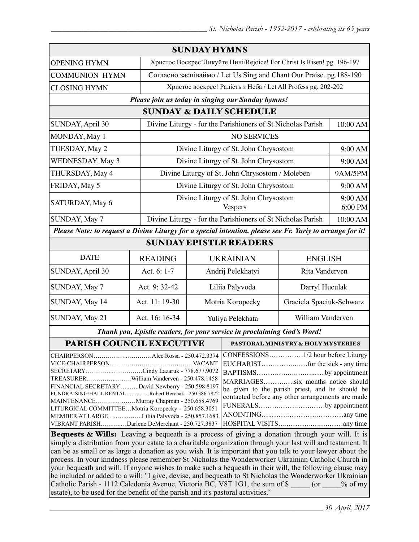| <b>SUNDAY HYMNS</b>                                                                                                                                                                                                                                                                                                                                                                                                                                                                                                                                                                                                                           |                |                                                                         |                                                               |                                    |                    |  |
|-----------------------------------------------------------------------------------------------------------------------------------------------------------------------------------------------------------------------------------------------------------------------------------------------------------------------------------------------------------------------------------------------------------------------------------------------------------------------------------------------------------------------------------------------------------------------------------------------------------------------------------------------|----------------|-------------------------------------------------------------------------|---------------------------------------------------------------|------------------------------------|--------------------|--|
| <b>OPENING HYMN</b>                                                                                                                                                                                                                                                                                                                                                                                                                                                                                                                                                                                                                           |                | Христос Воскрес! Ликуйте Нині/Rejoice! For Christ Is Risen! pg. 196-197 |                                                               |                                    |                    |  |
| <b>COMMUNION HYMN</b>                                                                                                                                                                                                                                                                                                                                                                                                                                                                                                                                                                                                                         |                | Согласно заспіваймо / Let Us Sing and Chant Our Praise. pg.188-190      |                                                               |                                    |                    |  |
| <b>CLOSING HYMN</b>                                                                                                                                                                                                                                                                                                                                                                                                                                                                                                                                                                                                                           |                |                                                                         | Христос воскрес! Радість з Неба / Let All Profess pg. 202-202 |                                    |                    |  |
| Please join us today in singing our Sunday hymns!                                                                                                                                                                                                                                                                                                                                                                                                                                                                                                                                                                                             |                |                                                                         |                                                               |                                    |                    |  |
| <b>SUNDAY &amp; DAILY SCHEDULE</b>                                                                                                                                                                                                                                                                                                                                                                                                                                                                                                                                                                                                            |                |                                                                         |                                                               |                                    |                    |  |
| SUNDAY, April 30                                                                                                                                                                                                                                                                                                                                                                                                                                                                                                                                                                                                                              |                | Divine Liturgy - for the Parishioners of St Nicholas Parish             |                                                               |                                    | 10:00 AM           |  |
| MONDAY, May 1                                                                                                                                                                                                                                                                                                                                                                                                                                                                                                                                                                                                                                 |                |                                                                         | <b>NO SERVICES</b>                                            |                                    |                    |  |
| TUESDAY, May 2                                                                                                                                                                                                                                                                                                                                                                                                                                                                                                                                                                                                                                |                | Divine Liturgy of St. John Chrysostom                                   |                                                               | 9:00 AM                            |                    |  |
| <b>WEDNESDAY, May 3</b>                                                                                                                                                                                                                                                                                                                                                                                                                                                                                                                                                                                                                       |                |                                                                         | Divine Liturgy of St. John Chrysostom                         |                                    | 9:00 AM            |  |
| THURSDAY, May 4                                                                                                                                                                                                                                                                                                                                                                                                                                                                                                                                                                                                                               |                |                                                                         | Divine Liturgy of St. John Chrysostom / Moleben               |                                    |                    |  |
| FRIDAY, May 5                                                                                                                                                                                                                                                                                                                                                                                                                                                                                                                                                                                                                                 |                | Divine Liturgy of St. John Chrysostom                                   |                                                               |                                    | 9:00 AM            |  |
| SATURDAY, May 6                                                                                                                                                                                                                                                                                                                                                                                                                                                                                                                                                                                                                               |                |                                                                         | Divine Liturgy of St. John Chrysostom<br><b>Vespers</b>       |                                    | 9:00 AM<br>6:00 PM |  |
| SUNDAY, May 7                                                                                                                                                                                                                                                                                                                                                                                                                                                                                                                                                                                                                                 |                |                                                                         | Divine Liturgy - for the Parishioners of St Nicholas Parish   |                                    | 10:00 AM           |  |
| Please Note: to request a Divine Liturgy for a special intention, please see Fr. Yuriy to arrange for it!                                                                                                                                                                                                                                                                                                                                                                                                                                                                                                                                     |                |                                                                         |                                                               |                                    |                    |  |
| <b>SUNDAY EPISTLE READERS</b>                                                                                                                                                                                                                                                                                                                                                                                                                                                                                                                                                                                                                 |                |                                                                         |                                                               |                                    |                    |  |
| <b>DATE</b>                                                                                                                                                                                                                                                                                                                                                                                                                                                                                                                                                                                                                                   | <b>READING</b> |                                                                         |                                                               | <b>UKRAINIAN</b><br><b>ENGLISH</b> |                    |  |
| SUNDAY, April 30                                                                                                                                                                                                                                                                                                                                                                                                                                                                                                                                                                                                                              | Act. 6: 1-7    | Rita Vanderven<br>Andrij Pelekhatyi                                     |                                                               |                                    |                    |  |
| SUNDAY, May 7                                                                                                                                                                                                                                                                                                                                                                                                                                                                                                                                                                                                                                 | Act. 9: 32-42  | Liliia Palyvoda                                                         |                                                               | Darryl Huculak                     |                    |  |
| SUNDAY, May 14                                                                                                                                                                                                                                                                                                                                                                                                                                                                                                                                                                                                                                | Act. 11: 19-30 | Motria Koropecky                                                        |                                                               | Graciela Spaciuk-Schwarz           |                    |  |
| SUNDAY, May 21                                                                                                                                                                                                                                                                                                                                                                                                                                                                                                                                                                                                                                | Act. 16: 16-34 | Yuliya Pelekhata                                                        |                                                               | William Vanderven                  |                    |  |
| Thank you, Epistle readers, for your service in proclaiming God's Word!                                                                                                                                                                                                                                                                                                                                                                                                                                                                                                                                                                       |                |                                                                         |                                                               |                                    |                    |  |
| <b>PARISH COUNCIL EXECUTIVE</b>                                                                                                                                                                                                                                                                                                                                                                                                                                                                                                                                                                                                               |                |                                                                         | <b>PASTORAL MINISTRY &amp; HOLY MYSTERIES</b>                 |                                    |                    |  |
| CHAIRPERSONAlec Rossa - 250.472.3374<br>SECRETARYCindy Lazaruk - 778.677.9072<br>BAPTISMSby appointment<br>TREASURERWilliam Vanderven - 250.478.1458<br>MARRIAGESsix months notice should<br>FINANCIAL SECRETARYDavid Newberry - 250.598.8197<br>be given to the parish priest, and he should be<br>FUNDRAISING/HALL RENTALRobert Herchak - 250.386.7872<br>contacted before any other arrangements are made<br>MAINTENANCEMurray Chapman - 250.658.4769<br>FUNERALSby appointment<br>LITURGICAL COMMITTEEMotria Koropecky - 250.658.3051<br>MEMBER AT LARGELiliia Palyvoda - 250.857.1683<br>VIBRANT PARISHDarlene DeMerchant - 250.727.3837 |                |                                                                         |                                                               |                                    |                    |  |
| <b>Bequests &amp; Wills:</b> Leaving a bequeath is a process of giving a donation through your will. It is                                                                                                                                                                                                                                                                                                                                                                                                                                                                                                                                    |                |                                                                         |                                                               |                                    |                    |  |

simply a distribution from your estate to a charitable organization through your last will and testament. It can be as small or as large a donation as you wish. It is important that you talk to your lawyer about the process. In your kindness please remember St Nicholas the Wonderworker Ukrainian Catholic Church in your bequeath and will. If anyone wishes to make such a bequeath in their will, the following clause may be included or added to a will: "I give, devise, and bequeath to St Nicholas the Wonderworker Ukrainian Catholic Parish - 1112 Caledonia Avenue, Victoria BC, V8T 1G1, the sum of \$  $\qquad \qquad$  (or  $\qquad \qquad$  % of my estate), to be used for the benefit of the parish and it's pastoral activities."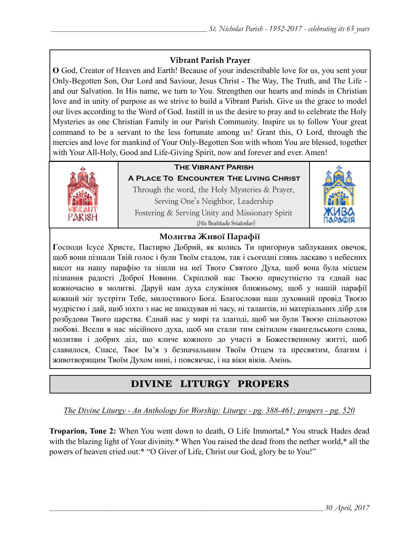## **Vibrant Parish Prayer**

**O** God, Creator of Heaven and Earth! Because of your indescribable love for us, you sent your Only-Begotten Son, Our Lord and Saviour, Jesus Christ - The Way, The Truth, and The Life and our Salvation. In His name, we turn to You. Strengthen our hearts and minds in Christian love and in unity of purpose as we strive to build a Vibrant Parish. Give us the grace to model our lives according to the Word of God. Instill in us the desire to pray and to celebrate the Holy Mysteries as one Christian Family in our Parish Community. Inspire us to follow Your great command to be a servant to the less fortunate among us! Grant this, O Lord, through the mercies and love for mankind of Your Only-Begotten Son with whom You are blessed, together with Your All-Holy, Good and Life-Giving Spirit, now and forever and ever. Amen!



# **The Vibrant Parish**

**A Place To Encounter The Living Christ** Through the word, the Holy Mysteries & Prayer, Serving One's Neighbor, Leadership Fostering & Serving Unity and Missionary Spirit (His Beatitude Sviatoslav)



## **Молитва Живої Парафії**

**Г**осподи Ісусе Христе, Пастирю Добрий, як колись Ти пригорнув заблуканих овечок, щоб вони пізнали Твій голос і були Твоїм стадом, так і сьогодні глянь ласкаво з небесних висот на нашу парафію та зішли на неї Твого Святого Духа, щоб вона була місцем пізнання радості Доброї Новини. Скріплюй нас Твоєю присутністю та єднай нас кожночасно в молитві. Даруй нам духа служіння ближньому, щоб у нашій парафії кожний міг зустріти Тебе, милостивого Бога. Благослови наш духовний провід Твоєю мудрістю і дай, щоб ніхто з нас не шкодував ні часу, ні талантів, ні матеріальних дібр для розбудови Твого царства. Єднай нас у мирі та злагоді, щоб ми були Твоєю спільнотою любові. Всели в нас місійного духа, щоб ми стали тим світилом євангельського слова, молитви і добрих діл, що кличе кожного до участі в Божественному житті, щоб славилося, Спасе, Твоє Ім'я з безначальним Твоїм Отцем та пресвятим, благим і животворящим Твоїм Духом нині, і повсякчас, і на віки віків. Амінь.

# DIVINE LITURGY PROPERS

*The Divine Liturgy - An Anthology for Worship: Liturgy - pg. 388-461; propers - pg. 520*

**Troparion, Tone 2:** When You went down to death, O Life Immortal,\* You struck Hades dead with the blazing light of Your divinity.\* When You raised the dead from the nether world,\* all the powers of heaven cried out:\* "O Giver of Life, Christ our God, glory be to You!"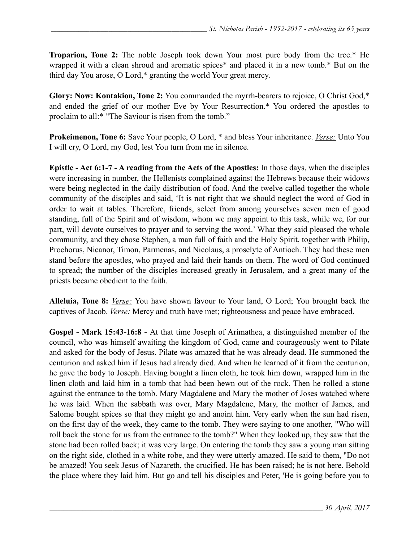**Troparion, Tone 2:** The noble Joseph took down Your most pure body from the tree.\* He wrapped it with a clean shroud and aromatic spices\* and placed it in a new tomb.\* But on the third day You arose, O Lord,\* granting the world Your great mercy.

**Glory: Now: Kontakion, Tone 2:** You commanded the myrrh-bearers to rejoice, O Christ God,\* and ended the grief of our mother Eve by Your Resurrection.\* You ordered the apostles to proclaim to all:\* "The Saviour is risen from the tomb."

**Prokeimenon, Tone 6:** Save Your people, O Lord, \* and bless Your inheritance. *Verse:* Unto You I will cry, O Lord, my God, lest You turn from me in silence.

**Epistle - Act 6:1-7 - A reading from the Acts of the Apostles:** In those days, when the disciples were increasing in number, the Hellenists complained against the Hebrews because their widows were being neglected in the daily distribution of food. And the twelve called together the whole community of the disciples and said, 'It is not right that we should neglect the word of God in order to wait at tables. Therefore, friends, select from among yourselves seven men of good standing, full of the Spirit and of wisdom, whom we may appoint to this task, while we, for our part, will devote ourselves to prayer and to serving the word.' What they said pleased the whole community, and they chose Stephen, a man full of faith and the Holy Spirit, together with Philip, Prochorus, Nicanor, Timon, Parmenas, and Nicolaus, a proselyte of Antioch. They had these men stand before the apostles, who prayed and laid their hands on them. The word of God continued to spread; the number of the disciples increased greatly in Jerusalem, and a great many of the priests became obedient to the faith.

**Alleluia, Tone 8:** *Verse:* You have shown favour to Your land, O Lord; You brought back the captives of Jacob. *Verse:* Mercy and truth have met; righteousness and peace have embraced.

**Gospel - Mark 15:43-16:8 -** At that time Joseph of Arimathea, a distinguished member of the council, who was himself awaiting the kingdom of God, came and courageously went to Pilate and asked for the body of Jesus. Pilate was amazed that he was already dead. He summoned the centurion and asked him if Jesus had already died. And when he learned of it from the centurion, he gave the body to Joseph. Having bought a linen cloth, he took him down, wrapped him in the linen cloth and laid him in a tomb that had been hewn out of the rock. Then he rolled a stone against the entrance to the tomb. Mary Magdalene and Mary the mother of Joses watched where he was laid. When the sabbath was over, Mary Magdalene, Mary, the mother of James, and Salome bought spices so that they might go and anoint him. Very early when the sun had risen, on the first day of the week, they came to the tomb. They were saying to one another, "Who will roll back the stone for us from the entrance to the tomb?" When they looked up, they saw that the stone had been rolled back; it was very large. On entering the tomb they saw a young man sitting on the right side, clothed in a white robe, and they were utterly amazed. He said to them, "Do not be amazed! You seek Jesus of Nazareth, the crucified. He has been raised; he is not here. Behold the place where they laid him. But go and tell his disciples and Peter, 'He is going before you to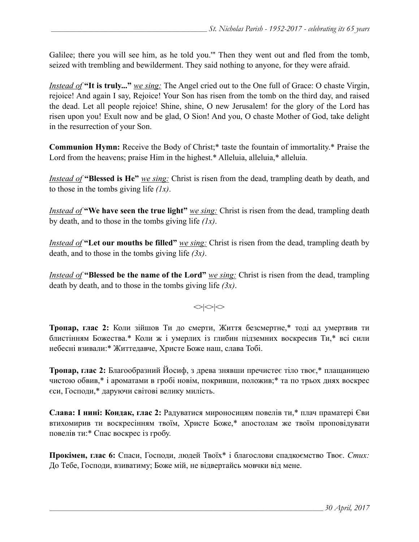Galilee; there you will see him, as he told you.'" Then they went out and fled from the tomb, seized with trembling and bewilderment. They said nothing to anyone, for they were afraid.

*Instead of* **"It is truly..."** *we sing:* The Angel cried out to the One full of Grace: O chaste Virgin, rejoice! And again I say, Rejoice! Your Son has risen from the tomb on the third day, and raised the dead. Let all people rejoice! Shine, shine, O new Jerusalem! for the glory of the Lord has risen upon you! Exult now and be glad, O Sion! And you, O chaste Mother of God, take delight in the resurrection of your Son.

**Communion Hymn:** Receive the Body of Christ;\* taste the fountain of immortality.\* Praise the Lord from the heavens; praise Him in the highest.\* Alleluia, alleluia,\* alleluia.

*Instead of* **"Blessed is He"** *we sing:* Christ is risen from the dead, trampling death by death, and to those in the tombs giving life *(1x)*.

*Instead of* "We have seen the true light" *we sing:* Christ is risen from the dead, trampling death by death, and to those in the tombs giving life *(1x)*.

*Instead of* "Let our mouths be filled" *we sing:* Christ is risen from the dead, trampling death by death, and to those in the tombs giving life *(3x)*.

*Instead of* **"Blessed be the name of the Lord"** *we sing:* Christ is risen from the dead, trampling death by death, and to those in the tombs giving life *(3x)*.

 $\langle$ 

**Тропар, глас 2:** Коли зійшов Ти до смерти, Життя безсмертне,\* тоді ад умертвив ти блистінням Божества.\* Коли ж і умерлих із глибин підземних воскресив Ти,\* всі сили небесні взивали:\* Життедавче, Христе Боже наш, слава Тобі.

**Тропар, глас 2:** Благообразний Йосиф, з древа знявши пречистеє тіло твоє,\* плащаницею чистою обвив,\* і ароматами в гробі новім, покривши, положив;\* та по трьох днях воскрес єси, Господи,\* даруючи світові велику милість.

**Слава: І нині: Кондак, глас 2:** Радуватися мироносицям повелів ти,\* плач праматері Єви втихомирив ти воскресінням твоїм, Христе Боже,\* апостолам же твоїм проповідувати повелів ти:\* Спас воскрес із гробу.

**Прокімен, глас 6:** Спаси, Господи, людей Твоїх\* і благослови спадкоємство Твоє. *Стих:*  До Тебе, Господи, взиватиму; Боже мій, не відвертайсь мовчки від мене.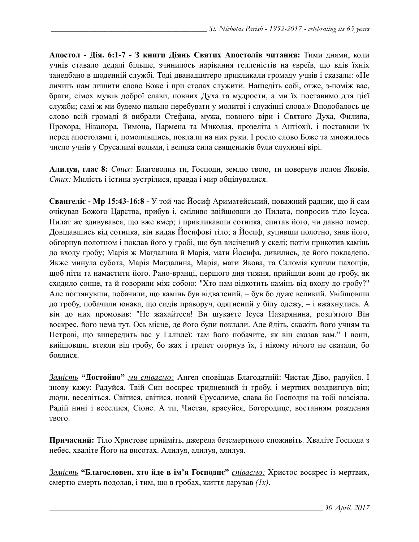**Апостол - Дія. 6:1-7 - З книги Діянь Святих Апостолів читання:** Тими днями, коли учнів ставало дедалі більше, зчинилось нарікання гелленістів на євреїв, що вдів їхніх занедбано в щоденній службі. Тоді дванадцятеро прикликали громаду учнів і сказали: «Не личить нам лишити слово Боже і при столах служити. Нагледіть собі, отже, з-поміж вас, брати, сімох мужів доброї слави, повних Духа та мудрости, а ми їх поставимо для цієї служби; самі ж ми будемо пильно перебувати у молитві і служінні слова.» Вподобалось це слово всій громаді й вибрали Стефана, мужа, повного віри і Святого Духа, Филипа, Прохора, Ніканора, Тимона, Пармена та Миколая, прозеліта з Антіохії, і поставили їх перед апостолами і, помолившись, поклали на них руки. І росло слово Боже та множилось число учнів у Єрусалимі вельми, і велика сила священиків були слухняні вірі.

**Алилуя, глас 8:** *Стих:* Благоволив ти, Господи, землю твою, ти повернув полон Яковів. *Стих:* Милість і істина зустрілися, правда і мир обцілувалися.

**Євангеліє - Мр 15:43-16:8 -** У той час Йосиф Ариматейський, поважний радник, що й сам очікував Божого Царства, прибув і, сміливо ввійшовши до Пилата, попросив тіло Ісуса. Пилат же здивувався, що вже вмер; і прикликавши сотника, спитав його, чи давно помер. Довідавшись від сотника, він видав Йосифові тіло; а Йосиф, купивши полотно, зняв його, обгорнув полотном і поклав його у гробі, що був висічений у скелі; потім прикотив камінь до входу гробу; Марія ж Магдалина й Марія, мати Йосифа, дивились, де його покладено. Якже минула субота, Марія Магдалина, Марія, мати Якова, та Саломія купили пахощів, щоб піти та намастити його. Рано-вранці, першого дня тижня, прийшли вони до гробу, як сходило сонце, та й говорили між собою: "Хто нам відкотить камінь від входу до гробу?" Але поглянувши, побачили, що камінь був відвалений, – був бо дуже великий. Увійшовши до гробу, побачили юнака, що сидів праворуч, одягнений у білу одежу, – і вжахнулись. А він до них промовив: "Не жахайтеся! Ви шукаєте Ісуса Назарянина, розп'ятого Він воскрес, його нема тут. Ось місце, де його були поклали. Але йдіть, скажіть його учням та Петрові, що випередить вас у Галилеї: там його побачите, як він сказав вам." І вони, вийшовши, втекли від гробу, бо жах і трепет огорнув їх, і нікому нічого не сказали, бо боялися.

*Замість* **"Достойно"** *ми співаємо:* Ангел сповіщав Благодатній: Чистая Діво, радуйся. І знову кажу: Радуйся. Твій Син воскрес тридневний із гробу, і мертвих воздвигнув він; люди, веселіться. Світися, світися, новий Єрусалиме, слава бо Господня на тобі возсіяла. Радій нині і веселися, Сіоне. А ти, Чистая, красуйся, Богородице, востанням рождення твого.

**Причасний:** Тіло Христове прийміть, джерела безсмертного споживіть. Хваліте Господа з небес, хваліте Його на висотах. Алилуя, алилуя, алилуя.

*Замість* **"Благословен, хто йде в ім'я Господнє"** *співаємо:* Христос воскрес із мертвих, смертю смерть подолав, і тим, що в гробах, життя дарував *(1x)*.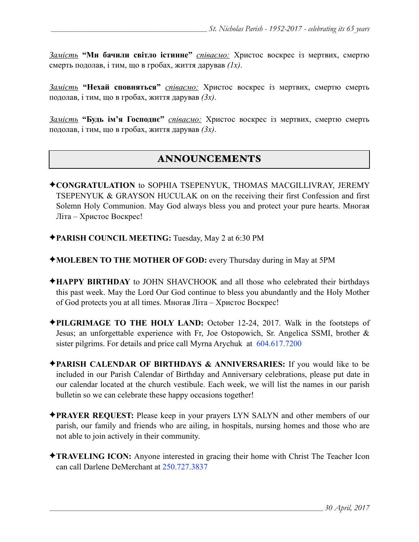*Замість* **"Ми бачили світло істинне"** *співаємо:* Христос воскрес із мертвих, смертю смерть подолав, і тим, що в гробах, життя дарував *(1x)*.

*Замість* **"Нехай сповняться"** *співаємо:* Христос воскрес із мертвих, смертю смерть подолав, і тим, що в гробах, життя дарував *(3x)*.

*Замість* **"Будь ім'я Господнє"** *співаємо:* Христос воскрес із мертвих, смертю смерть подолав, і тим, що в гробах, життя дарував *(3x)*.

# ANNOUNCEMENTS

- ✦**CONGRATULATION** to SOPHIA TSEPENYUK, THOMAS MACGILLIVRAY, JEREMY TSEPENYUK & GRAYSON HUCULAK on on the receiving their first Confession and first Solemn Holy Communion. May God always bless you and protect your pure hearts. Многая Літа – Христос Воскрес!
- ✦**PARISH COUNCIL MEETING:** Tuesday, May 2 at 6:30 PM
- ✦**MOLEBEN TO THE MOTHER OF GOD:** every Thursday during in May at 5PM
- ✦**HAPPY BIRTHDAY** to JOHN SHAVCHOOK and all those who celebrated their birthdays this past week. May the Lord Our God continue to bless you abundantly and the Holy Mother of God protects you at all times. Многая Літа – Христос Воскрес!
- ✦**PILGRIMAGE TO THE HOLY LAND:** October 12-24, 2017. Walk in the footsteps of Jesus; an unforgettable experience with Fr, Joe Ostopowich, Sr. Angelica SSMI, brother & sister pilgrims. For details and price call Myrna Arychuk at 604.617.7200
- ✦**PARISH CALENDAR OF BIRTHDAYS & ANNIVERSARIES:** If you would like to be included in our Parish Calendar of Birthday and Anniversary celebrations, please put date in our calendar located at the church vestibule. Each week, we will list the names in our parish bulletin so we can celebrate these happy occasions together!
- ✦**PRAYER REQUEST:** Please keep in your prayers LYN SALYN and other members of our parish, our family and friends who are ailing, in hospitals, nursing homes and those who are not able to join actively in their community.
- ✦**TRAVELING ICON:** Anyone interested in gracing their home with Christ The Teacher Icon can call Darlene DeMerchant at 250.727.3837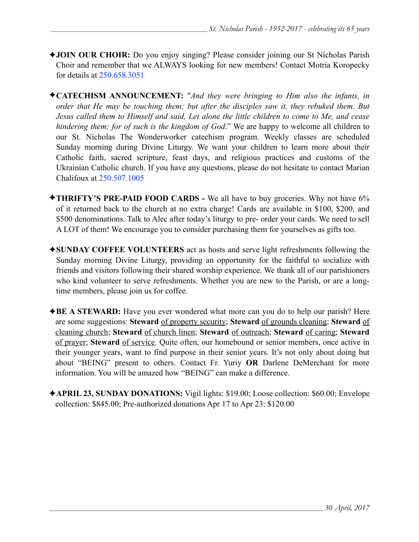- ✦**JOIN OUR CHOIR:** Do you enjoy singing? Please consider joining our St Nicholas Parish Choir and remember that we ALWAYS looking for new members! Contact Motria Koropecky for details at 250.658.3051
- ✦**CATECHISM ANNOUNCEMENT:** "*And they were bringing to Him also the infants, in order that He may be touching them; but after the disciples saw it, they rebuked them. But Jesus called them to Himself and said, Let alone the little children to come to Me, and cease hindering them; for of such is the kingdom of God*." We are happy to welcome all children to our St. Nicholas The Wonderworker catechism program. Weekly classes are scheduled Sunday morning during Divine Liturgy. We want your children to learn more about their Catholic faith, sacred scripture, feast days, and religious practices and customs of the Ukrainian Catholic church. If you have any questions, please do not hesitate to contact Marian Chalifoux at 250.507.1005
- ✦**THRIFTY'S PRE-PAID FOOD CARDS** We all have to buy groceries. Why not have 6% of it returned back to the church at no extra charge! Cards are available in \$100, \$200, and \$500 denominations. Talk to Alec after today's liturgy to pre- order your cards. We need to sell A LOT of them! We encourage you to consider purchasing them for yourselves as gifts too.
- ✦**SUNDAY COFFEE VOLUNTEERS** act as hosts and serve light refreshments following the Sunday morning Divine Liturgy, providing an opportunity for the faithful to socialize with friends and visitors following their shared worship experience. We thank all of our parishioners who kind volunteer to serve refreshments. Whether you are new to the Parish, or are a longtime members, please join us for coffee.
- ✦**BE A STEWARD:** Have you ever wondered what more can you do to help our parish? Here are some suggestions: **Steward** of property security; **Steward** of grounds cleaning; **Steward** of cleaning church; **Steward** of church linen; **Steward** of outreach; **Steward** of caring; **Steward** of prayer; **Steward** of service. Quite often, our homebound or senior members, once active in their younger years, want to find purpose in their senior years. It's not only about doing but about "BEING" present to others. Contact Fr. Yuriy **OR** Darlene DeMerchant for more information. You will be amazed how "BEING" can make a difference.
- ✦**APRIL 23, SUNDAY DONATIONS:** Vigil lights: \$19.00; Loose collection: \$60.00; Envelope collection: \$845.00; Pre-authorized donations Apr 17 to Apr 23: \$120.00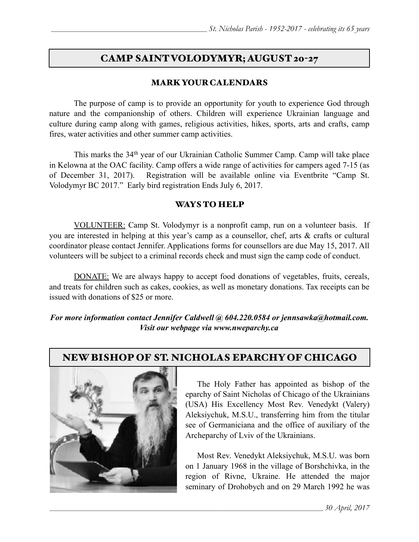# CAMP SAINT VOLODYMYR; AUGUST 20-27

## MARK YOUR CALENDARS

 The purpose of camp is to provide an opportunity for youth to experience God through nature and the companionship of others. Children will experience Ukrainian language and culture during camp along with games, religious activities, hikes, sports, arts and crafts, camp fires, water activities and other summer camp activities.

 This marks the 34th year of our Ukrainian Catholic Summer Camp. Camp will take place in Kelowna at the OAC facility. Camp offers a wide range of activities for campers aged 7-15 (as of December 31, 2017). Registration will be available online via Eventbrite "Camp St. Volodymyr BC 2017." Early bird registration Ends July 6, 2017.

### WAYS TO HELP

VOLUNTEER: Camp St. Volodymyr is a nonprofit camp, run on a volunteer basis. If you are interested in helping at this year's camp as a counsellor, chef, arts & crafts or cultural coordinator please contact Jennifer. Applications forms for counsellors are due May 15, 2017. All volunteers will be subject to a criminal records check and must sign the camp code of conduct.

DONATE: We are always happy to accept food donations of vegetables, fruits, cereals, and treats for children such as cakes, cookies, as well as monetary donations. Tax receipts can be issued with donations of \$25 or more.

*For more information contact Jennifer Caldwell @ 604.220.0584 or [jennsawka@hotmail.com.](mailto:jennsawka@hotmail.com) Visit our webpage via [www.nweparchy.ca](http://www.nweparchy.ca)*

# NEW BISHOP OF ST. NICHOLAS EPARCHY OF CHICAGO



 The Holy Father has appointed as bishop of the eparchy of Saint Nicholas of Chicago of the Ukrainians (USA) His Excellency Most Rev. Venedykt (Valery) Aleksiychuk, M.S.U., transferring him from the titular see of Germaniciana and the office of auxiliary of the Archeparchy of Lviv of the Ukrainians.

Most Rev. Venedykt Aleksiychuk, M.S.U. was born on 1 January 1968 in the village of Borshchivka, in the region of Rivne, Ukraine. He attended the major seminary of Drohobych and on 29 March 1992 he was